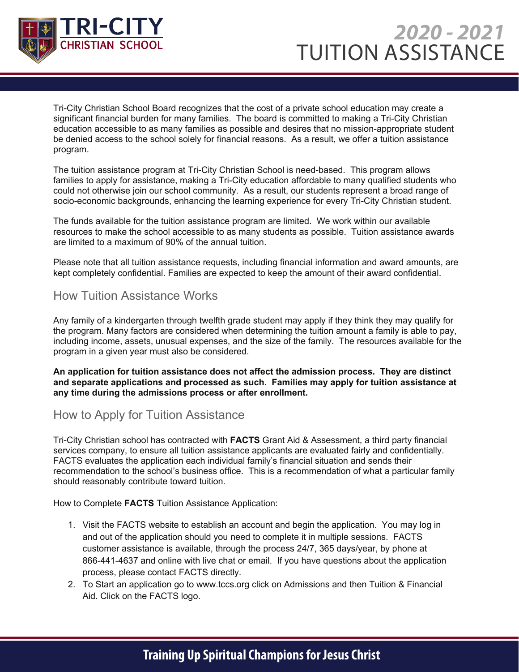

Tri-City Christian School Board recognizes that the cost of a private school education may create a significant financial burden for many families. The board is committed to making a Tri-City Christian education accessible to as many families as possible and desires that no mission-appropriate student be denied access to the school solely for financial reasons. As a result, we offer a tuition assistance program.

The tuition assistance program at Tri-City Christian School is need-based. This program allows families to apply for assistance, making a Tri-City education affordable to many qualified students who could not otherwise join our school community. As a result, our students represent a broad range of socio-economic backgrounds, enhancing the learning experience for every Tri-City Christian student.

The funds available for the tuition assistance program are limited. We work within our available resources to make the school accessible to as many students as possible. Tuition assistance awards are limited to a maximum of 90% of the annual tuition.

Please note that all tuition assistance requests, including financial information and award amounts, are kept completely confidential. Families are expected to keep the amount of their award confidential.

### How Tuition Assistance Works

Any family of a kindergarten through twelfth grade student may apply if they think they may qualify for the program. Many factors are considered when determining the tuition amount a family is able to pay, including income, assets, unusual expenses, and the size of the family. The resources available for the program in a given year must also be considered.

**An application for tuition assistance does not affect the admission process. They are distinct and separate applications and processed as such. Families may apply for tuition assistance at any time during the admissions process or after enrollment.**

# How to Apply for Tuition Assistance

Tri-City Christian school has contracted with **FACTS** Grant Aid & Assessment, a third party financial services company, to ensure all tuition assistance applicants are evaluated fairly and confidentially. FACTS evaluates the application each individual family's financial situation and sends their recommendation to the school's business office. This is a recommendation of what a particular family should reasonably contribute toward tuition.

How to Complete **FACTS** Tuition Assistance Application:

- 1. Visit the FACTS website to establish an account and begin the application. You may log in and out of the application should you need to complete it in multiple sessions. FACTS customer assistance is available, through the process 24/7, 365 days/year, by phone at 866-441-4637 and online with live chat or email. If you have questions about the application process, please contact FACTS directly.
- 2. To Start an application go to www.tccs.org click on Admissions and then Tuition & Financial Aid. Click on the FACTS logo.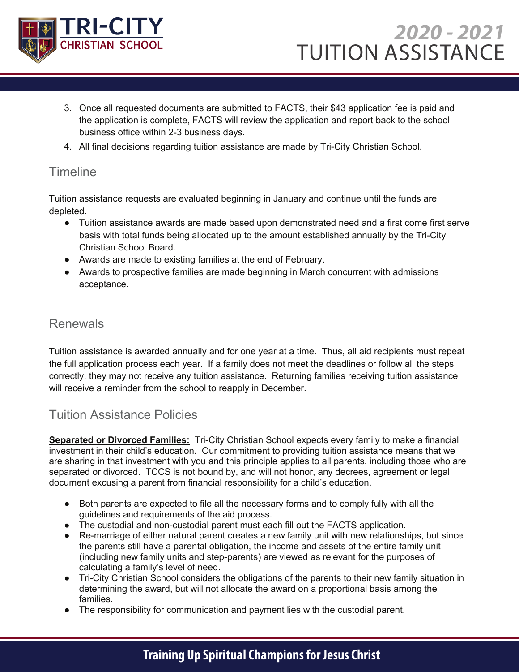

- 3. Once all requested documents are submitted to FACTS, their \$43 application fee is paid and the application is complete, FACTS will review the application and report back to the school business office within 2-3 business days.
- 4. All final decisions regarding tuition assistance are made by Tri-City Christian School.

# **Timeline**

Tuition assistance requests are evaluated beginning in January and continue until the funds are depleted.

- Tuition assistance awards are made based upon demonstrated need and a first come first serve basis with total funds being allocated up to the amount established annually by the Tri-City Christian School Board.
- Awards are made to existing families at the end of February.
- Awards to prospective families are made beginning in March concurrent with admissions acceptance.

# Renewals

Tuition assistance is awarded annually and for one year at a time. Thus, all aid recipients must repeat the full application process each year. If a family does not meet the deadlines or follow all the steps correctly, they may not receive any tuition assistance. Returning families receiving tuition assistance will receive a reminder from the school to reapply in December.

# Tuition Assistance Policies

**Separated or Divorced Families:** Tri-City Christian School expects every family to make a financial investment in their child's education. Our commitment to providing tuition assistance means that we are sharing in that investment with you and this principle applies to all parents, including those who are separated or divorced. TCCS is not bound by, and will not honor, any decrees, agreement or legal document excusing a parent from financial responsibility for a child's education.

- Both parents are expected to file all the necessary forms and to comply fully with all the guidelines and requirements of the aid process.
- The custodial and non-custodial parent must each fill out the FACTS application.
- Re-marriage of either natural parent creates a new family unit with new relationships, but since the parents still have a parental obligation, the income and assets of the entire family unit (including new family units and step-parents) are viewed as relevant for the purposes of calculating a family's level of need.
- Tri-City Christian School considers the obligations of the parents to their new family situation in determining the award, but will not allocate the award on a proportional basis among the families.
- The responsibility for communication and payment lies with the custodial parent.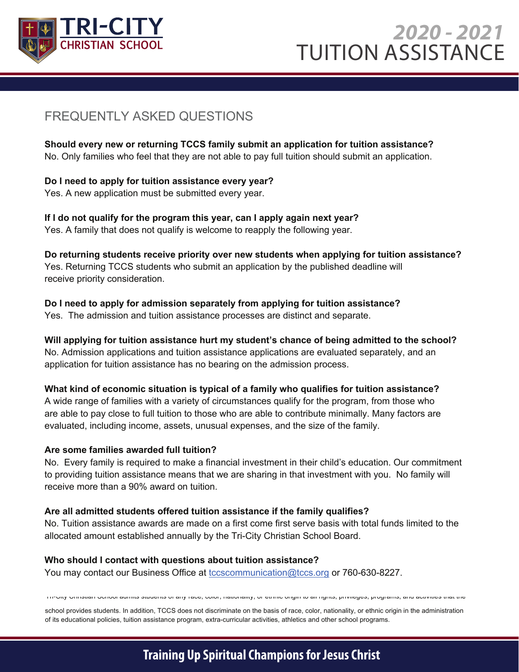

Timeline

# $\frac{1 \text{ RI} - \text{CI} \text{ I Y}}{\text{CUBSTAN SCUOO}}$  2020 - 2021 TUITION ASSISTANCE

# FREQUENTLY ASKED QUESTIONS THE funds are evaluated by  $\sim$

Should every new or returning TCCS family submit an application for tuition assistance? No. Only families who feel that they are not able to pay full tuition should submit an application.

● Awards to prospective families are made beginning in March concurrent with admissions

## Do I need to apply for tuition assistance every year? Yes. A new application must be submitted every year.

If I do not qualify for the program this year, can I apply again next year? Yes. A family that does not qualify is welcome to reapply the following year.

**Do returning students receive priority over new students when applying for tuition assistance?** Yes. Returning TCCS students who submit an application by the published deadline will the full application process each year. If a family does not meet the steps of the steps of the steps of the steps of the steps of the steps of the steps of the steps of the steps of the steps of the steps of the steps of

## Do I need to apply for admission separately from applying for tuition assistance?

Yes. The admission and tuition assistance processes are distinct and separate.

#### **Will applying for tuition assistance hurt my student's chance of being admitted to the school?** <u>.</u><br>Tuitistance Policies Assistance Policies Assistance .

No. Admission applications and tuition assistance applications are evaluated separately, and an **Admilties:** Tri application for tuition assistance has no bearing on the admission process.

#### What kind of economic situation is typical of a family who qualifies for tuition assistance?

A wide range of families with a variety of circumstances qualify for the program, from those who are able to pay close to full tuition to those who are able to contribute minimally. Many factors are evaluated, including income, assets, unusual expenses, and the size of the family many future. gui, moluumiy moomo, assoto, unusuul cxponsos

#### **Are some families awarded full tuition?** ● The custodial and non-custodial parent must each fill out the FAST application. some families awarded full tuition?

No. Every family is required to make a financial investment in their child's education. Our commitment to providing tuition assistance means that we are sharing in that investment with you. No family will receive more than a 90% award on tuition.

#### Are all admitted students offered tuition assistance if the family qualifies? auiiliue<br>..

No. Tuition assistance awards are made on a first come first serve basis with total funds limited to the allocated amount established annually by the Tri-City Christian School Board.

#### **Who should I contact with questions about tuition assistance?**

You may contact our Business Office at <u>tccscommunication@tccs.org</u> or 760-630-8227.

Tri-City Christian School admits students of any race, color, nationality, or ethnic origin to all rights, privileges, programs, and activities that the

school provides students. In addition, TCCS does not discriminate on the basis of race, color, nationality, or ethnic origin in the administration of its educational policies, tuition assistance program, extra-curricular activities, athletics and other school programs.

# **Training Up Spiritual Champions for Jesus Christ**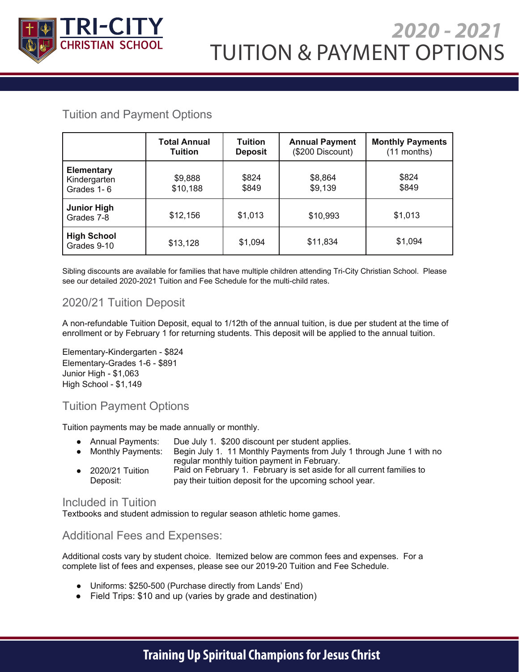

# TUITION & PAYMENT OPTIONS *2020 - 2021*

# Tuition and Payment Options

2018-2019 Tuition and Fees

|                                                 | <b>Total Annual</b><br><b>Tuition</b> | <b>Tuition</b><br><b>Deposit</b> | <b>Annual Payment</b><br>(\$200 Discount) | <b>Monthly Payments</b><br>$(11$ months) |
|-------------------------------------------------|---------------------------------------|----------------------------------|-------------------------------------------|------------------------------------------|
| <b>Elementary</b><br>Kindergarten<br>Grades 1-6 | \$9,888<br>\$10,188                   | \$824<br>\$849                   | \$8,864<br>\$9,139                        | \$824<br>\$849                           |
| <b>Junior High</b><br>Grades 7-8                | \$12,156                              | \$1,013                          | \$10,993                                  | \$1,013                                  |
| <b>High School</b><br>Grades 9-10               | \$13,128                              | \$1,094                          | \$11,834                                  | \$1,094                                  |

Sibling discounts are available for families that have multiple children attending Tri-City Christian School. Please see our detailed 2020-2021 Tuition and Fee Schedule for the multi-child rates.

# 2020/21 Tuition Deposit

A non-refundable Tuition Deposit, equal to 1/12th of the annual tuition, is due per student at the time of enrollment or by February 1 for returning students. This deposit will be applied to the annual tuition.

Elementary-Kindergarten - \$824 Elementary-Grades 1-6 - \$891 Junior High - \$1,063 High School - \$1,149

# Tuition Payment Options

Tuition payments may be made annually or monthly.

- Annual Payments: Due July 1. \$200 discount per student applies.
- Monthly Payments: Begin July 1. 11 Monthly Payments from July 1 through June 1 with no regular monthly tuition payment in February.
- 2020/21 Tuition Deposit: Paid on February 1. February is set aside for all current families to pay their tuition deposit for the upcoming school year.

#### Included in Tuition

Textbooks and student admission to regular season athletic home games.

### Additional Fees and Expenses:

Additional costs vary by student choice. Itemized below are common fees and expenses. For a complete list of fees and expenses, please see our 2019-20 Tuition and Fee Schedule.

- Uniforms: \$250-500 (Purchase directly from Lands' End)
- Field Trips: \$10 and up (varies by grade and destination)